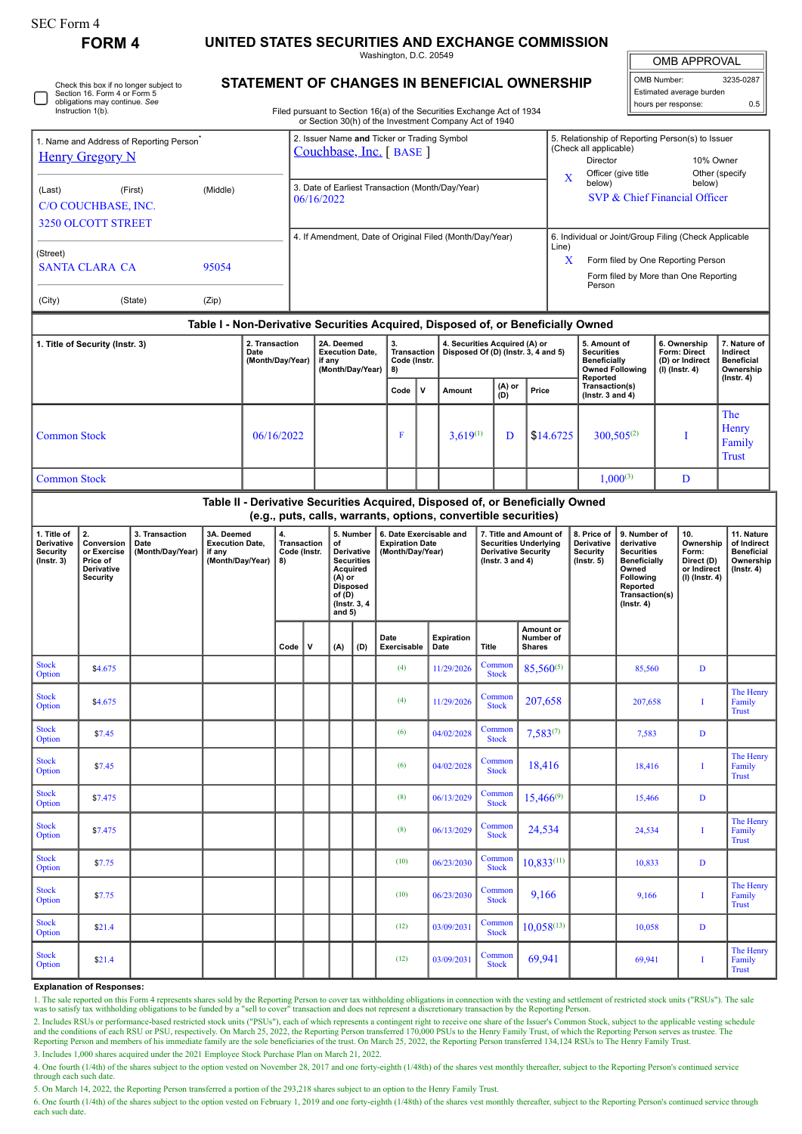| SEC Form 4 |  |
|------------|--|
|------------|--|

**FORM 4 UNITED STATES SECURITIES AND EXCHANGE COMMISSION** Washington, D.C. 20549

OMB APPROVAL

| OMB Number:              | 3235-0287 |  |  |  |  |  |  |  |  |
|--------------------------|-----------|--|--|--|--|--|--|--|--|
| Estimated average burden |           |  |  |  |  |  |  |  |  |
| hours per response:      | 0.5       |  |  |  |  |  |  |  |  |

Check this box if no longer subject to Section 16. Form 4 or Form 5 obligations may continue. *See* Instruction 1(b).

## **STATEMENT OF CHANGES IN BENEFICIAL OWNERSHIP**

Filed pursuant to Section 16(a) of the Securities Exchange Act of 1934 or Section 30(h) of the Investment Company Act of 1940

| 1. Name and Address of Reporting Person <sup>7</sup><br><b>Henry Gregory N</b><br>(First)<br>(Last)<br>(Middle) |                                                                              |                                            |                                                                    |                                            |            | 2. Issuer Name and Ticker or Trading Symbol<br>Couchbase, Inc. [BASE]<br>3. Date of Earliest Transaction (Month/Day/Year)<br>06/16/2022                                   |                                                                    |     |                                                          |                                            |                                                                      |                                                                                                                                                 |                                                        | 5. Relationship of Reporting Person(s) to Issuer<br>(Check all applicable)<br>Director<br>10% Owner<br>Officer (give title<br>Other (specify<br>$\mathbf X$<br>below)<br>below)<br>SVP & Chief Financial Officer |                                                                                                     |                                                                                                                                                       |                  |                                                                          |                                                                                 |  |  |
|-----------------------------------------------------------------------------------------------------------------|------------------------------------------------------------------------------|--------------------------------------------|--------------------------------------------------------------------|--------------------------------------------|------------|---------------------------------------------------------------------------------------------------------------------------------------------------------------------------|--------------------------------------------------------------------|-----|----------------------------------------------------------|--------------------------------------------|----------------------------------------------------------------------|-------------------------------------------------------------------------------------------------------------------------------------------------|--------------------------------------------------------|------------------------------------------------------------------------------------------------------------------------------------------------------------------------------------------------------------------|-----------------------------------------------------------------------------------------------------|-------------------------------------------------------------------------------------------------------------------------------------------------------|------------------|--------------------------------------------------------------------------|---------------------------------------------------------------------------------|--|--|
| C/O COUCHBASE, INC.                                                                                             |                                                                              |                                            |                                                                    |                                            |            |                                                                                                                                                                           |                                                                    |     |                                                          |                                            |                                                                      |                                                                                                                                                 |                                                        |                                                                                                                                                                                                                  |                                                                                                     |                                                                                                                                                       |                  |                                                                          |                                                                                 |  |  |
| <b>3250 OLCOTT STREET</b>                                                                                       |                                                                              |                                            |                                                                    |                                            |            |                                                                                                                                                                           |                                                                    |     | 4. If Amendment, Date of Original Filed (Month/Day/Year) |                                            |                                                                      |                                                                                                                                                 |                                                        | 6. Individual or Joint/Group Filing (Check Applicable                                                                                                                                                            |                                                                                                     |                                                                                                                                                       |                  |                                                                          |                                                                                 |  |  |
| (Street)<br><b>SANTA CLARA CA</b><br>95054                                                                      |                                                                              |                                            |                                                                    |                                            |            |                                                                                                                                                                           |                                                                    |     |                                                          |                                            |                                                                      |                                                                                                                                                 |                                                        |                                                                                                                                                                                                                  | Line)<br>X<br>Form filed by One Reporting Person<br>Form filed by More than One Reporting<br>Person |                                                                                                                                                       |                  |                                                                          |                                                                                 |  |  |
| (City)                                                                                                          | (State)                                                                      |                                            |                                                                    |                                            |            |                                                                                                                                                                           |                                                                    |     |                                                          |                                            |                                                                      |                                                                                                                                                 |                                                        |                                                                                                                                                                                                                  |                                                                                                     |                                                                                                                                                       |                  |                                                                          |                                                                                 |  |  |
|                                                                                                                 |                                                                              |                                            |                                                                    |                                            |            |                                                                                                                                                                           |                                                                    |     |                                                          |                                            |                                                                      | Table I - Non-Derivative Securities Acquired, Disposed of, or Beneficially Owned                                                                |                                                        |                                                                                                                                                                                                                  |                                                                                                     |                                                                                                                                                       |                  |                                                                          |                                                                                 |  |  |
| 1. Title of Security (Instr. 3)                                                                                 |                                                                              |                                            |                                                                    | 2. Transaction<br>Date<br>(Month/Day/Year) |            |                                                                                                                                                                           | 2A. Deemed<br><b>Execution Date,</b><br>if any<br>(Month/Day/Year) |     | 3.<br>Transaction<br>Code (Instr.<br>8)                  |                                            | 4. Securities Acquired (A) or<br>Disposed Of (D) (Instr. 3, 4 and 5) |                                                                                                                                                 |                                                        | 5. Amount of<br><b>Securities</b><br><b>Beneficially</b>                                                                                                                                                         |                                                                                                     | <b>Owned Following</b>                                                                                                                                | $(I)$ (Instr. 4) | 6. Ownership<br>Form: Direct<br>(D) or Indirect                          | 7. Nature of<br>Indirect<br><b>Beneficial</b><br>Ownership<br>$($ Instr. 4 $)$  |  |  |
|                                                                                                                 |                                                                              |                                            |                                                                    |                                            |            |                                                                                                                                                                           |                                                                    |     | Code                                                     | $\mathbf v$                                | Amount                                                               | $(A)$ or<br>$(D)$                                                                                                                               | Price                                                  |                                                                                                                                                                                                                  | Reported<br>Transaction(s)<br>( $lnstr. 3 and 4$ )                                                  |                                                                                                                                                       |                  |                                                                          |                                                                                 |  |  |
| <b>Common Stock</b>                                                                                             |                                                                              |                                            |                                                                    |                                            | 06/16/2022 |                                                                                                                                                                           |                                                                    |     | F                                                        |                                            | $3,619^{(1)}$                                                        | D                                                                                                                                               | \$14.6725                                              |                                                                                                                                                                                                                  |                                                                                                     | $300,505^{(2)}$                                                                                                                                       |                  | I                                                                        | <b>The</b><br>Henry<br>Family<br><b>Trust</b>                                   |  |  |
| <b>Common Stock</b>                                                                                             |                                                                              |                                            |                                                                    |                                            |            |                                                                                                                                                                           |                                                                    |     |                                                          |                                            |                                                                      |                                                                                                                                                 | $1,000^{(3)}$                                          |                                                                                                                                                                                                                  | D                                                                                                   |                                                                                                                                                       |                  |                                                                          |                                                                                 |  |  |
|                                                                                                                 |                                                                              |                                            |                                                                    |                                            |            |                                                                                                                                                                           |                                                                    |     |                                                          |                                            |                                                                      | Table II - Derivative Securities Acquired, Disposed of, or Beneficially Owned<br>(e.g., puts, calls, warrants, options, convertible securities) |                                                        |                                                                                                                                                                                                                  |                                                                                                     |                                                                                                                                                       |                  |                                                                          |                                                                                 |  |  |
| 1. Title of<br>Derivative<br><b>Security</b><br>$($ Instr. $3)$                                                 | 2.<br>Conversion<br>or Exercise<br>Price of<br>Derivative<br><b>Security</b> | 3. Transaction<br>Date<br>(Month/Day/Year) | 3A. Deemed<br><b>Execution Date,</b><br>if any<br>(Month/Day/Year) |                                            | 4.<br>8)   | 5. Number<br><b>Transaction</b><br>of<br>Code (Instr.<br>Derivative<br><b>Securities</b><br>Acquired<br>$(A)$ or<br><b>Disposed</b><br>of(D)<br>(Instr. 3, 4)<br>and $5)$ |                                                                    |     |                                                          | <b>Expiration Date</b><br>(Month/Day/Year) | 6. Date Exercisable and                                              | <b>Derivative Security</b><br>( $lnstr. 3 and 4$ )                                                                                              | 7. Title and Amount of<br><b>Securities Underlying</b> | 8. Price of<br><b>Derivative</b><br><b>Security</b><br>$($ lnstr. 5 $)$                                                                                                                                          |                                                                                                     | 9. Number of<br>derivative<br><b>Securities</b><br><b>Beneficially</b><br>Owned<br><b>Following</b><br>Reported<br>Transaction(s)<br>$($ Instr. 4 $)$ |                  | 10.<br>Ownership<br>Form:<br>Direct (D)<br>or Indirect<br>(I) (Instr. 4) | 11. Nature<br>of Indirect<br><b>Beneficial</b><br>Ownership<br>$($ Instr. 4 $)$ |  |  |
|                                                                                                                 |                                                                              |                                            |                                                                    |                                            | Code       | ${\bf v}$                                                                                                                                                                 | (A)                                                                | (D) | Date<br>Exercisable                                      |                                            | Expiration<br>Date                                                   | Title                                                                                                                                           | Amount or<br>Number of<br><b>Shares</b>                |                                                                                                                                                                                                                  |                                                                                                     |                                                                                                                                                       |                  |                                                                          |                                                                                 |  |  |
| <b>Stock</b><br>Option                                                                                          | \$4.675                                                                      |                                            |                                                                    |                                            |            |                                                                                                                                                                           |                                                                    |     | (4)                                                      |                                            | 11/29/2026                                                           | Common<br><b>Stock</b>                                                                                                                          | 85,560(5)                                              |                                                                                                                                                                                                                  |                                                                                                     | 85,560                                                                                                                                                |                  | D                                                                        |                                                                                 |  |  |
| <b>Stock</b><br>Option                                                                                          | \$4.675                                                                      |                                            |                                                                    |                                            |            |                                                                                                                                                                           |                                                                    |     | (4)                                                      |                                            | 11/29/2026                                                           | Common<br><b>Stock</b>                                                                                                                          | 207,658                                                |                                                                                                                                                                                                                  |                                                                                                     | 207,658                                                                                                                                               |                  | I                                                                        | The Henry<br>Family<br><b>Trust</b>                                             |  |  |
| $\operatorname{\mathsf{Stock}}$<br>Option                                                                       | \$7.45                                                                       |                                            |                                                                    |                                            |            |                                                                                                                                                                           |                                                                    |     | (6)                                                      |                                            | 04/02/2028                                                           | Common<br>Stock                                                                                                                                 | $7,583^{(7)}$                                          |                                                                                                                                                                                                                  |                                                                                                     | 7,583                                                                                                                                                 |                  | D                                                                        |                                                                                 |  |  |
| <b>Stock</b><br>Option                                                                                          | \$7.45                                                                       |                                            |                                                                    |                                            |            |                                                                                                                                                                           |                                                                    |     | (6)                                                      |                                            | 04/02/2028                                                           | Common<br><b>Stock</b>                                                                                                                          | 18,416                                                 |                                                                                                                                                                                                                  |                                                                                                     | 18,416                                                                                                                                                |                  | Ī                                                                        | The Henry<br>Family<br><b>Trust</b>                                             |  |  |
| <b>Stock</b><br>Option                                                                                          | \$7.475                                                                      |                                            |                                                                    |                                            |            |                                                                                                                                                                           |                                                                    |     | (8)                                                      |                                            | 06/13/2029                                                           | Common<br><b>Stock</b>                                                                                                                          | $15,466^{(9)}$                                         |                                                                                                                                                                                                                  |                                                                                                     | 15,466                                                                                                                                                |                  | D                                                                        |                                                                                 |  |  |
| <b>Stock</b><br>Option                                                                                          | \$7.475                                                                      |                                            |                                                                    |                                            |            |                                                                                                                                                                           |                                                                    |     | (8)                                                      |                                            | 06/13/2029                                                           | Common<br><b>Stock</b>                                                                                                                          | 24,534                                                 |                                                                                                                                                                                                                  |                                                                                                     | 24,534                                                                                                                                                |                  | I                                                                        | The Henry<br>Family<br><b>Trust</b>                                             |  |  |
| <b>Stock</b><br>Option                                                                                          | \$7.75                                                                       |                                            |                                                                    |                                            |            |                                                                                                                                                                           |                                                                    |     | (10)                                                     |                                            | 06/23/2030                                                           | Common<br><b>Stock</b>                                                                                                                          | 10,833(11)                                             |                                                                                                                                                                                                                  |                                                                                                     | 10,833                                                                                                                                                |                  | D                                                                        |                                                                                 |  |  |
| <b>Stock</b><br>Option                                                                                          |                                                                              |                                            |                                                                    |                                            |            |                                                                                                                                                                           |                                                                    |     | (10)                                                     |                                            | 06/23/2030                                                           | Common<br><b>Stock</b>                                                                                                                          | 9,166                                                  |                                                                                                                                                                                                                  |                                                                                                     | 9,166                                                                                                                                                 |                  | Ī                                                                        | The Henry<br>Family                                                             |  |  |
|                                                                                                                 | \$7.75                                                                       |                                            |                                                                    |                                            |            |                                                                                                                                                                           |                                                                    |     |                                                          |                                            |                                                                      |                                                                                                                                                 |                                                        |                                                                                                                                                                                                                  |                                                                                                     |                                                                                                                                                       |                  |                                                                          | <b>Trust</b>                                                                    |  |  |
| <b>Stock</b><br>Option                                                                                          | \$21.4                                                                       |                                            |                                                                    |                                            |            |                                                                                                                                                                           |                                                                    |     | (12)                                                     |                                            | 03/09/2031                                                           | Common<br><b>Stock</b>                                                                                                                          | $10,058^{(13)}$                                        |                                                                                                                                                                                                                  |                                                                                                     | 10,058                                                                                                                                                |                  | D                                                                        |                                                                                 |  |  |

## **Explanation of Responses:**

1. The sale reported on this Form 4 represents shares sold by the Reporting Person to cover tax withholding obligations in connection with the vesting and settlement of restricted stock units ("RSUs"). The sale was to sati

2. Includes RSUs or performance-based restricted stock units ("PSUs"), each of which represents a contingent right to receive one share of the Issuer's Common Stock, subject to the applicable vesting schedule and the conditions of each RSU or PSU, respectively. On March 25, 2022, the Reporting Person transferred 170,000 PSUs to the Henry Family Trust, of which the Reporting Person serves as trustee. The Reporting Person and mem 3. Includes 1,000 shares acquired under the 2021 Employee Stock Purchase Plan on March 21, 2022.

4. One fourth (1/4th) of the shares subject to the option vested on November 28, 2017 and one forty-eighth (1/48th) of the shares vest monthly thereafter, subject to the Reporting Person's continued service through each such date.

5. On March 14, 2022, the Reporting Person transferred a portion of the 293,218 shares subject to an option to the Henry Family Trust.

6. One fourth (1/4th) of the shares subject to the option vested on February 1, 2019 and one forty-eighth (1/48th) of the shares vest monthly thereafter, subject to the Reporting Person's continued service through each such date